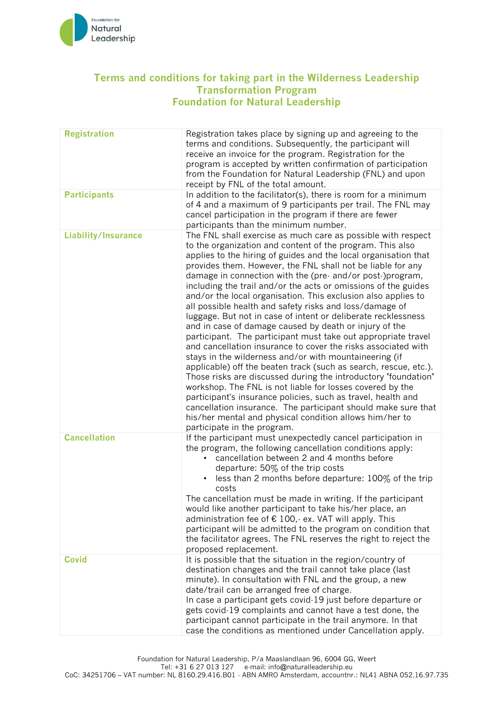

## **Terms and conditions for taking part in the Wilderness Leadership Transformation Program Foundation for Natural Leadership**

| <b>Registration</b>        | Registration takes place by signing up and agreeing to the<br>terms and conditions. Subsequently, the participant will<br>receive an invoice for the program. Registration for the<br>program is accepted by written confirmation of participation<br>from the Foundation for Natural Leadership (FNL) and upon<br>receipt by FNL of the total amount.                                                                                                                                                                                                                                                                                                                                                                                                                                                                                                                                                                                                                                                                                                                                                                                                                                                                                                                      |
|----------------------------|-----------------------------------------------------------------------------------------------------------------------------------------------------------------------------------------------------------------------------------------------------------------------------------------------------------------------------------------------------------------------------------------------------------------------------------------------------------------------------------------------------------------------------------------------------------------------------------------------------------------------------------------------------------------------------------------------------------------------------------------------------------------------------------------------------------------------------------------------------------------------------------------------------------------------------------------------------------------------------------------------------------------------------------------------------------------------------------------------------------------------------------------------------------------------------------------------------------------------------------------------------------------------------|
| <b>Participants</b>        | In addition to the facilitator(s), there is room for a minimum<br>of 4 and a maximum of 9 participants per trail. The FNL may<br>cancel participation in the program if there are fewer<br>participants than the minimum number.                                                                                                                                                                                                                                                                                                                                                                                                                                                                                                                                                                                                                                                                                                                                                                                                                                                                                                                                                                                                                                            |
| <b>Liability/Insurance</b> | The FNL shall exercise as much care as possible with respect<br>to the organization and content of the program. This also<br>applies to the hiring of guides and the local organisation that<br>provides them. However, the FNL shall not be liable for any<br>damage in connection with the (pre- and/or post-)program,<br>including the trail and/or the acts or omissions of the guides<br>and/or the local organisation. This exclusion also applies to<br>all possible health and safety risks and loss/damage of<br>luggage. But not in case of intent or deliberate recklessness<br>and in case of damage caused by death or injury of the<br>participant. The participant must take out appropriate travel<br>and cancellation insurance to cover the risks associated with<br>stays in the wilderness and/or with mountaineering (if<br>applicable) off the beaten track (such as search, rescue, etc.).<br>Those risks are discussed during the introductory "foundation"<br>workshop. The FNL is not liable for losses covered by the<br>participant's insurance policies, such as travel, health and<br>cancellation insurance. The participant should make sure that<br>his/her mental and physical condition allows him/her to<br>participate in the program. |
| <b>Cancellation</b>        | If the participant must unexpectedly cancel participation in<br>the program, the following cancellation conditions apply:<br>cancellation between 2 and 4 months before<br>departure: 50% of the trip costs<br>less than 2 months before departure: 100% of the trip<br>costs<br>The cancellation must be made in writing. If the participant<br>would like another participant to take his/her place, an<br>administration fee of € 100, ex. VAT will apply. This<br>participant will be admitted to the program on condition that<br>the facilitator agrees. The FNL reserves the right to reject the<br>proposed replacement.                                                                                                                                                                                                                                                                                                                                                                                                                                                                                                                                                                                                                                            |
| <b>Covid</b>               | It is possible that the situation in the region/country of<br>destination changes and the trail cannot take place (last<br>minute). In consultation with FNL and the group, a new<br>date/trail can be arranged free of charge.<br>In case a participant gets covid-19 just before departure or<br>gets covid-19 complaints and cannot have a test done, the<br>participant cannot participate in the trail anymore. In that<br>case the conditions as mentioned under Cancellation apply.                                                                                                                                                                                                                                                                                                                                                                                                                                                                                                                                                                                                                                                                                                                                                                                  |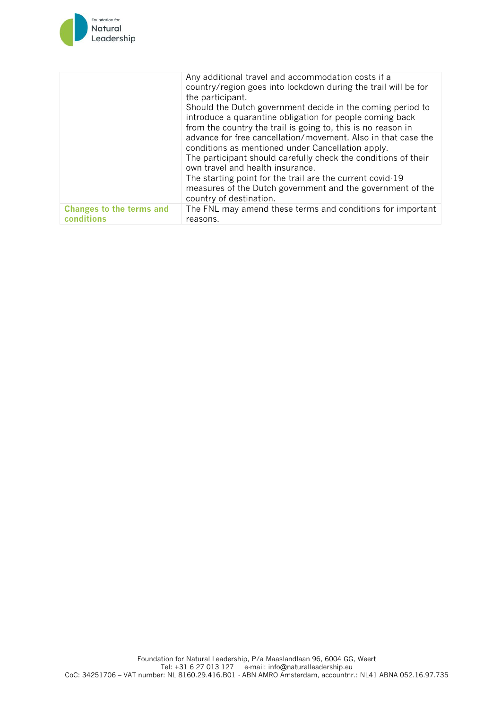

|                                 | Any additional travel and accommodation costs if a<br>country/region goes into lockdown during the trail will be for<br>the participant.<br>Should the Dutch government decide in the coming period to<br>introduce a quarantine obligation for people coming back<br>from the country the trail is going to, this is no reason in<br>advance for free cancellation/movement. Also in that case the<br>conditions as mentioned under Cancellation apply.<br>The participant should carefully check the conditions of their<br>own travel and health insurance.<br>The starting point for the trail are the current covid 19<br>measures of the Dutch government and the government of the<br>country of destination. |
|---------------------------------|----------------------------------------------------------------------------------------------------------------------------------------------------------------------------------------------------------------------------------------------------------------------------------------------------------------------------------------------------------------------------------------------------------------------------------------------------------------------------------------------------------------------------------------------------------------------------------------------------------------------------------------------------------------------------------------------------------------------|
| <b>Changes to the terms and</b> | The FNL may amend these terms and conditions for important                                                                                                                                                                                                                                                                                                                                                                                                                                                                                                                                                                                                                                                           |
| conditions                      | reasons.                                                                                                                                                                                                                                                                                                                                                                                                                                                                                                                                                                                                                                                                                                             |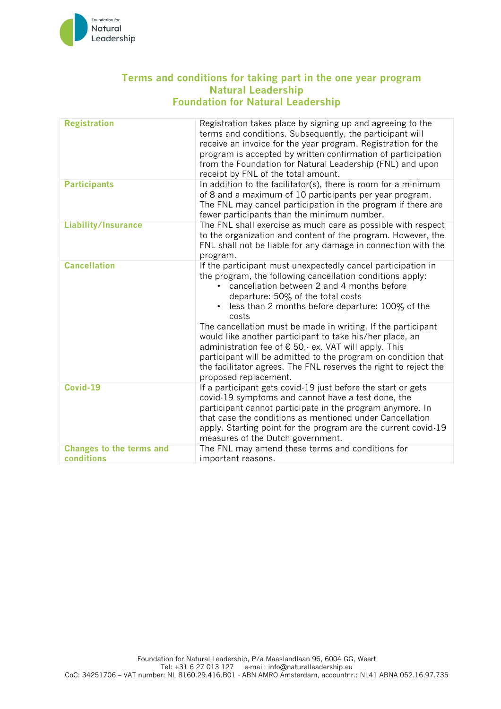

## **Terms and conditions for taking part in the one year program Natural Leadership Foundation for Natural Leadership**

| <b>Registration</b>                           | Registration takes place by signing up and agreeing to the<br>terms and conditions. Subsequently, the participant will<br>receive an invoice for the year program. Registration for the<br>program is accepted by written confirmation of participation<br>from the Foundation for Natural Leadership (FNL) and upon<br>receipt by FNL of the total amount.                                                                                                                                                                                                                                                                      |
|-----------------------------------------------|----------------------------------------------------------------------------------------------------------------------------------------------------------------------------------------------------------------------------------------------------------------------------------------------------------------------------------------------------------------------------------------------------------------------------------------------------------------------------------------------------------------------------------------------------------------------------------------------------------------------------------|
| <b>Participants</b>                           | In addition to the facilitator(s), there is room for a minimum<br>of 8 and a maximum of 10 participants per year program.<br>The FNL may cancel participation in the program if there are<br>fewer participants than the minimum number.                                                                                                                                                                                                                                                                                                                                                                                         |
| <b>Liability/Insurance</b>                    | The FNL shall exercise as much care as possible with respect<br>to the organization and content of the program. However, the<br>FNL shall not be liable for any damage in connection with the<br>program.                                                                                                                                                                                                                                                                                                                                                                                                                        |
| <b>Cancellation</b>                           | If the participant must unexpectedly cancel participation in<br>the program, the following cancellation conditions apply:<br>cancellation between 2 and 4 months before<br>departure: 50% of the total costs<br>less than 2 months before departure: 100% of the<br>٠<br>costs<br>The cancellation must be made in writing. If the participant<br>would like another participant to take his/her place, an<br>administration fee of € 50, ex. VAT will apply. This<br>participant will be admitted to the program on condition that<br>the facilitator agrees. The FNL reserves the right to reject the<br>proposed replacement. |
| Covid-19                                      | If a participant gets covid-19 just before the start or gets<br>covid-19 symptoms and cannot have a test done, the<br>participant cannot participate in the program anymore. In<br>that case the conditions as mentioned under Cancellation<br>apply. Starting point for the program are the current covid-19<br>measures of the Dutch government.                                                                                                                                                                                                                                                                               |
| <b>Changes to the terms and</b><br>conditions | The FNL may amend these terms and conditions for<br>important reasons.                                                                                                                                                                                                                                                                                                                                                                                                                                                                                                                                                           |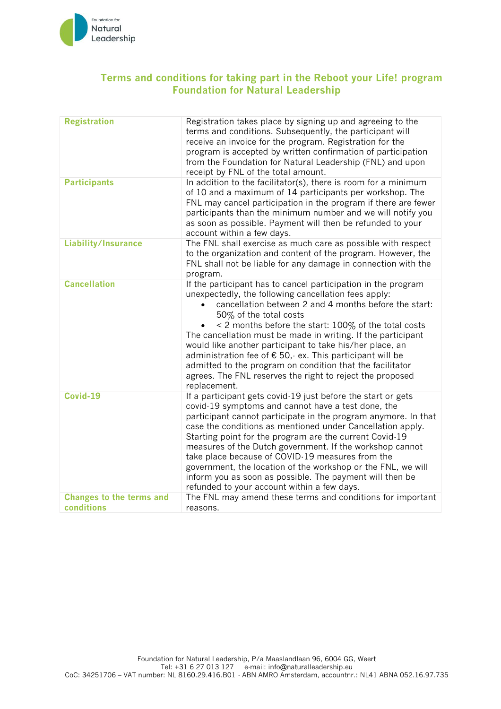

## **Terms and conditions for taking part in the Reboot your Life! program Foundation for Natural Leadership**

| <b>Registration</b>             | Registration takes place by signing up and agreeing to the<br>terms and conditions. Subsequently, the participant will<br>receive an invoice for the program. Registration for the<br>program is accepted by written confirmation of participation<br>from the Foundation for Natural Leadership (FNL) and upon<br>receipt by FNL of the total amount.                                                                                                                                                                                                                                                   |
|---------------------------------|----------------------------------------------------------------------------------------------------------------------------------------------------------------------------------------------------------------------------------------------------------------------------------------------------------------------------------------------------------------------------------------------------------------------------------------------------------------------------------------------------------------------------------------------------------------------------------------------------------|
| <b>Participants</b>             | In addition to the facilitator(s), there is room for a minimum<br>of 10 and a maximum of 14 participants per workshop. The<br>FNL may cancel participation in the program if there are fewer<br>participants than the minimum number and we will notify you<br>as soon as possible. Payment will then be refunded to your<br>account within a few days.                                                                                                                                                                                                                                                  |
| <b>Liability/Insurance</b>      | The FNL shall exercise as much care as possible with respect<br>to the organization and content of the program. However, the<br>FNL shall not be liable for any damage in connection with the<br>program.                                                                                                                                                                                                                                                                                                                                                                                                |
| <b>Cancellation</b>             | If the participant has to cancel participation in the program<br>unexpectedly, the following cancellation fees apply:<br>cancellation between 2 and 4 months before the start:<br>50% of the total costs<br>$\leq$ 2 months before the start: 100% of the total costs<br>The cancellation must be made in writing. If the participant<br>would like another participant to take his/her place, an<br>administration fee of € 50, ex. This participant will be<br>admitted to the program on condition that the facilitator<br>agrees. The FNL reserves the right to reject the proposed<br>replacement.  |
| Covid-19                        | If a participant gets covid-19 just before the start or gets<br>covid-19 symptoms and cannot have a test done, the<br>participant cannot participate in the program anymore. In that<br>case the conditions as mentioned under Cancellation apply.<br>Starting point for the program are the current Covid-19<br>measures of the Dutch government. If the workshop cannot<br>take place because of COVID-19 measures from the<br>government, the location of the workshop or the FNL, we will<br>inform you as soon as possible. The payment will then be<br>refunded to your account within a few days. |
| <b>Changes to the terms and</b> | The FNL may amend these terms and conditions for important                                                                                                                                                                                                                                                                                                                                                                                                                                                                                                                                               |
| conditions                      | reasons.                                                                                                                                                                                                                                                                                                                                                                                                                                                                                                                                                                                                 |